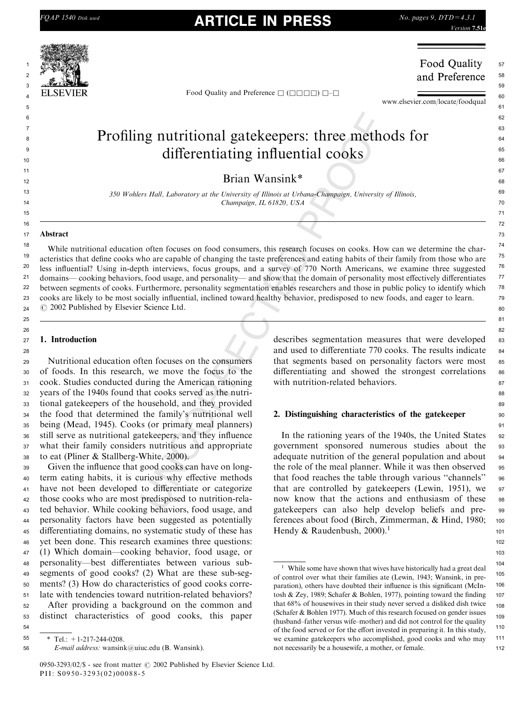# $F_{QAP\;1540\;disk\;used}$  **ARTICLE IN PRESS** No. pages 9, DTD=4.3.1



Food Ouality and Preference

Food Quality and Preference  $\Box$  ( $\Box$  $\Box$  $\Box$ )  $\Box$ - $\Box$ 

[www.elsevier.com/locate/foodqual](http://www.elsevier.com/locate/foodqual/a4.3d)

# **S:** three methom<br>tial cooks<br>\*<br>*SA*<br>Foldam Champaign, University Profiling nutritional gatekeepers: three methods for differentiating influential cooks

Brian Wansink\*

350 Wohlers Hall, Laboratory at the University of Illinois at Urbana-Champaign, University of Illinois, Champaign, IL 61820, USA

#### Abstract

While nutritional education often focuses on food consumers, this research focuses on cooks. How can we determine the characteristics that define cooks who are capable of changing the taste preferences and eating habits of their family from those who are less influential? Using in-depth interviews, focus groups, and a survey of 770 North Americans, we examine three suggested domains— cooking behaviors, food usage, and personality— and show that the domain of personality most effectively differentiates between segments of cooks. Furthermore, personality segmentation enables researchers and those in public policy to identify which cooks are likely to be most socially influential, inclined toward healthy behavior, predisposed to new foods, and eager to learn.  $\odot$  2002 Published by Elsevier Science Ltd.

### 1. Introduction

1 often focuses on food consumers, this research the are capable of changing the taste preferences as the interviews, focus groups, and a survey of 77, food usage, and personality—and show that the interviewermere, persona Nutritional education often focuses on the consumers of foods. In this research, we move the focus to the cook. Studies conducted during the American rationing years of the 1940s found that cooks served as the nutritional gatekeepers of the household, and they provided the food that determined the family's nutritional well being (Mead, 1945). Cooks (or primary meal planners) still serve as nutritional gatekeepers, and they influence what their family considers nutritious and appropriate to eat (Pliner & Stallberg-White, 2000). 

Given the influence that good cooks can have on longterm eating habits, it is curious why effective methods have not been developed to differentiate or categorize those cooks who are most predisposed to nutrition-related behavior. While cooking behaviors, food usage, and personality factors have been suggested as potentially differentiating domains, no systematic study of these has yet been done. This research examines three questions: (1) Which domain—cooking behavior, food usage, or personality—best differentiates between various subsegments of good cooks? (2) What are these sub-segments? (3) How do characteristics of good cooks correlate with tendencies toward nutrition-related behaviors? After providing a background on the common and distinct characteristics of good cooks, this paper 

0950-3293/02/\$ - see front matter © 2002 Published by Elsevier Science Ltd. PII: S0950-3293(02)00088-5

describes segmentation measures that were developed and used to differentiate 770 cooks. The results indicate that segments based on personality factors were most differentiating and showed the strongest correlations with nutrition-related behaviors.

#### 2. Distinguishing characteristics of the gatekeeper

In the rationing years of the 1940s, the United States government sponsored numerous studies about the adequate nutrition of the general population and about the role of the meal planner. While it was then observed that food reaches the table through various ''channels'' that are controlled by gatekeepers (Lewin, 1951), we now know that the actions and enthusiasm of these gatekeepers can also help develop beliefs and preferences about food (Birch, Zimmerman, & Hind, 1980; Hendy & Raudenbush, 2000).<sup>1</sup>

 

Tel.:  $+ 1-217-244-0208$ .

 E-mail address: wansink@uiuc.edu (B. Wansink).

 While some have shown that wives have historically had a great deal of control over what their families ate (Lewin, 1943; Wansink, in preparation), others have doubted their influence is this significant (McIntosh & Zey, 1989; Schafer & Bohlen, 1977), pointing toward the finding that 68% of housewives in their study never served a disliked dish twice (Schafer & Bohlen 1977). Much of this research focused on gender issues (husband–father versus wife–mother) and did not control for the quality of the food served or for the effort invested in preparing it. In this study, we examine gatekeepers who accomplished, good cooks and who may not necessarily be a housewife, a mother, or female.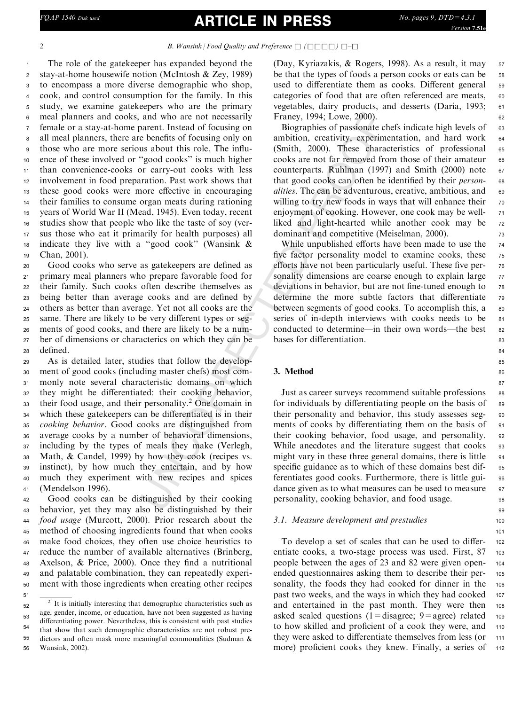## $QAP$  1540 Disk used  $ARTICE IN PRESS$  No. pages 9, DTD=4.3.1

#### 2 B. Wansink | Food Quality and Preference  $\Box$  ( $\Box$  $\Box$  $\Box$ )  $\Box$ - $\Box$

The role of the gatekeeper has expanded beyond the stay-at-home housewife notion (McIntosh & Zey, 1989) to encompass a more diverse demographic who shop, cook, and control consumption for the family. In this study, we examine gatekeepers who are the primary meal planners and cooks, and who are not necessarily female or a stay-at-home parent. Instead of focusing on all meal planners, there are benefits of focusing only on those who are more serious about this role. The influence of these involved or ''good cooks'' is much higher than convenience-cooks or carry-out cooks with less involvement in food preparation. Past work shows that these good cooks were more effective in encouraging their families to consume organ meats during rationing years of World War II (Mead, 1945). Even today, recent studies show that people who like the taste of soy (versus those who eat it primarily for health purposes) all indicate they live with a ''good cook'' (Wansink & Chan, 2001). 1 2 3 4 5 6 7 8 9 10 11 12 13 14 15 16 17 18 19

Good cooks who serve as gatekeepers are defined as primary meal planners who prepare favorable food for their family. Such cooks often describe themselves as being better than average cooks and are defined by others as better than average. Yet not all cooks are the same. There are likely to be very different types or segments of good cooks, and there are likely to be a number of dimensions or characterics on which they can be defined. 20 21 22 23  $24$ 25 26 27 28

Transmit & While u<br>
as gatekeepers are defined as<br>
five factor<br>
of propare favorable food for<br>
often describe themselves as<br>
e cooks and are defined by<br>
determine<br>
age. Yet not all cooks are the<br>
between s<br>
be very differe As is detailed later, studies that follow the development of good cooks (including master chefs) most commonly note several characteristic domains on which they might be differentiated: their cooking behavior, their food usage, and their personality.<sup>2</sup> One domain in which these gatekeepers can be differentiated is in their cooking behavior. Good cooks are distinguished from average cooks by a number of behavioral dimensions, including by the types of meals they make (Verlegh, Math, & Candel, 1999) by how they cook (recipes vs. instinct), by how much they entertain, and by how much they experiment with new recipes and spices (Mendelson 1996). 29 30 31  $32$ 33 34 35 36 37 38 39 40 41

Good cooks can be distinguished by their cooking behavior, yet they may also be distinguished by their food usage (Murcott, 2000). Prior research about the method of choosing ingredients found that when cooks make food choices, they often use choice heuristics to reduce the number of available alternatives (Brinberg, Axelson, & Price, 2000). Once they find a nutritional and palatable combination, they can repeatedly experiment with those ingredients when creating other recipes 42 43 44 45 46 47 48 49 50

<sup>2</sup> It is initially interesting that demographic characteristics such as age, gender, income, or education, have not been suggested as having differentiating power. Nevertheless, this is consistent with past studies that show that such demographic characteristics are not robust predictors and often mask more meaningful commonalities (Sudman & Wansink, 2002). 52 53 54 55 56

51

(Day, Kyriazakis, & Rogers, 1998). As a result, it may be that the types of foods a person cooks or eats can be used to differentiate them as cooks. Different general categories of food that are often referenced are meats, vegetables, dairy products, and desserts (Daria, 1993; Franey, 1994; Lowe, 2000). 57 58 59 60 61 62

y, 1994; Lowe, 2000).<br>graphies of passionate clon, creativity, experim<br>i, 2000). These chara<br>are not far removed fraction<br>are not far removed fractions.<br>Dood cooks can often be<br>The can be adventurously to try new foods in Biographies of passionate chefs indicate high levels of ambition, creativity, experimentation, and hard work (Smith, 2000). These characteristics of professional cooks are not far removed from those of their amateur counterparts. Ruhlman (1997) and Smith (2000) note that good cooks can often be identified by their personalities. The can be adventurous, creative, ambitious, and willing to try new foods in ways that will enhance their enjoyment of cooking. However, one cook may be wellliked and light-hearted while another cook may be dominant and competitive (Meiselman, 2000). 63 64 65 66 67 68 69 70 71 72 73

While unpublished efforts have been made to use the five factor personality model to examine cooks, these efforts have not been particularly useful. These five personality dimensions are coarse enough to explain large deviations in behavior, but are not fine-tuned enough to determine the more subtle factors that differentiate between segments of good cooks. To accomplish this, a series of in-depth interviews with cooks needs to be conducted to determine—in their own words—the best bases for differentiation.

#### 3. Method

Just as career surveys recommend suitable professions for individuals by differentiating people on the basis of their personality and behavior, this study assesses segments of cooks by differentiating them on the basis of their cooking behavior, food usage, and personality. While anecdotes and the literature suggest that cooks might vary in these three general domains, there is little specific guidance as to which of these domains best differentiates good cooks. Furthermore, there is little guidance given as to what measures can be used to measure personality, cooking behavior, and food usage.

#### 3.1. Measure development and prestudies

To develop a set of scales that can be used to differentiate cooks, a two-stage process was used. First, 87 people between the ages of 23 and 82 were given openended questionnaires asking them to describe their personality, the foods they had cooked for dinner in the past two weeks, and the ways in which they had cooked and entertained in the past month. They were then asked scaled questions  $(1=$ disagree;  $9=$ agree) related to how skilled and proficient of a cook they were, and they were asked to differentiate themselves from less (or more) proficient cooks they knew. Finally, a series of 102 103 104 105 106 107 108 109 110 111 112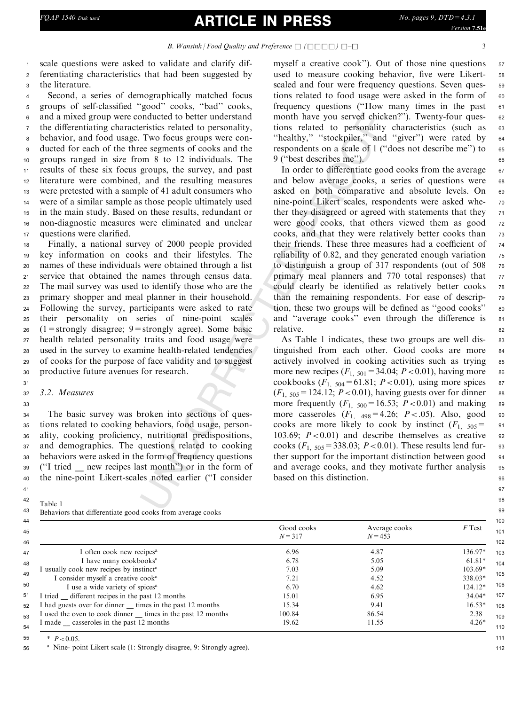# $F_{QAP\;I540\;Disk\;used}$  and  $\blacksquare$  article in PRESS  $N_{O.\;pages\;9,\;DTD=4.3.1}$

## B. Wansink | Food Quality and Preference  $\Box$  ( $\Box$  $\Box$  $\Box$ )  $\Box$ - $\Box$

scale questions were asked to validate and clarify differentiating characteristics that had been suggested by the literature. 1 2 3

Second, a series of demographically matched focus groups of self-classified ''good'' cooks, ''bad'' cooks, and a mixed group were conducted to better understand the differentiating characteristics related to personality, behavior, and food usage. Two focus groups were conducted for each of the three segments of cooks and the groups ranged in size from 8 to 12 individuals. The results of these six focus groups, the survey, and past literature were combined, and the resulting measures were pretested with a sample of 41 adult consumers who were of a similar sample as those people ultimately used in the main study. Based on these results, redundant or non-diagnostic measures were eliminated and unclear questions were clarified. 4 5 6 7 8 9 10 11 12 13 14 15 16 17

responsible provided their friends and their lifestyles. The reliability were obtained through census data an annes through consumes the could clear primary r to identify those who are the could clear to identify those wh Finally, a national survey of 2000 people provided key information on cooks and their lifestyles. The names of these individuals were obtained through a list service that obtained the names through census data. The mail survey was used to identify those who are the primary shopper and meal planner in their household. Following the survey, participants were asked to rate their personality on series of nine-point scales  $(1=$ strongly disagree; 9 = strongly agree). Some basic health related personality traits and food usage were used in the survey to examine health-related tendencies of cooks for the purpose of face validity and to suggest productive future avenues for research. 18 19 20 21 22 23  $24$ 25 26 27 28 29 30

#### 3.2. Measures

31  $32$ 33

41

55

The basic survey was broken into sections of questions related to cooking behaviors, food usage, personality, cooking proficiency, nutritional predispositions, and demographics. The questions related to cooking behaviors were asked in the form of frequency questions (''I tried \_\_ new recipes last month'') or in the form of the nine-point Likert-scales noted earlier (''I consider 34 35 36 37 38 39 40

Table 1 42

| 43 | Behaviors that differentiate good cooks from average cooks |  |  |
|----|------------------------------------------------------------|--|--|
|    |                                                            |  |  |

myself a creative cook''). Out of those nine questions used to measure cooking behavior, five were Likertscaled and four were frequency questions. Seven questions related to food usage were asked in the form of frequency questions (''How many times in the past month have you served chicken?''). Twenty-four questions related to personality characteristics (such as "healthy," "stockpiler," and "giver") were rated by respondents on a scale of 1 (''does not describe me'') to 9 (''best describes me''). 57 58 59 60 61 62 63 64 65 66

I have you served chick<br>related to personality<br>hy," "stockpiler," and<br>dents on a scale of 1 ("<br>st describes me").<br>rder to differentiate goc<br>elow average cooks, a<br>on both comparative<br>oint Likert scales, resp<br>ey disagreed or In order to differentiate good cooks from the average and below average cooks, a series of questions were asked on both comparative and absolute levels. On nine-point Likert scales, respondents were asked whether they disagreed or agreed with statements that they were good cooks, that others viewed them as good cooks, and that they were relatively better cooks than their friends. These three measures had a coefficient of reliability of 0.82, and they generated enough variation to distinguish a group of 317 respondents (out of 508 primary meal planners and 770 total responses) that could clearly be identified as relatively better cooks than the remaining respondents. For ease of description, these two groups will be defined as ''good cooks'' and ''average cooks'' even through the difference is relative. 67 68 69 70 71 72 73 74 75 76 77 78 79  $80$ 81 82

As Table 1 indicates, these two groups are well distinguished from each other. Good cooks are more actively involved in cooking activities such as trying more new recipes  $(F_{1, 501} = 34.04; P < 0.01)$ , having more cookbooks  $(F_{1, 504} = 61.81; P < 0.01)$ , using more spices  $(F_{1, 505} = 124.12; P < 0.01)$ , having guests over for dinner more frequently  $(F_{1, 500} = 16.53; P < 0.01)$  and making more casseroles  $(F_1, 498) = 4.26$ ;  $P < .05$ ). Also, good cooks are more likely to cook by instinct  $(F_1, 505)$ 103.69;  $P < 0.01$ ) and describe themselves as creative cooks  $(F_{1, 505} = 338.03; P < 0.01)$ . These results lend further support for the important distinction between good and average cooks, and they motivate further analysis based on this distinction.

|                                                            | Good cooks<br>$N = 317$ | Average cooks<br>$N = 453$ | $F$ Test  |
|------------------------------------------------------------|-------------------------|----------------------------|-----------|
| I often cook new recipes <sup>a</sup>                      | 6.96                    | 4.87                       | 136.97*   |
| I have many cookbooks <sup>a</sup>                         | 6.78                    | 5.05                       | $61.81*$  |
| I usually cook new recipes by instinct <sup>a</sup>        | 7.03                    | 5.09                       | $103.69*$ |
| I consider myself a creative cook <sup>a</sup>             | 7.21                    | 4.52                       | 338.03*   |
| I use a wide variety of spices <sup>a</sup>                | 6.70                    | 4.62                       | 124.12*   |
| I tried different recipes in the past 12 months            | 15.01                   | 6.95                       | $34.04*$  |
| I had guests over for dinner times in the past 12 months   | 15.34                   | 9.41                       | $16.53*$  |
| I used the oven to cook dinner times in the past 12 months | 100.84                  | 86.54                      | 2.38      |
| I made casseroles in the past 12 months                    | 19.62                   | 11.55                      | $4.26*$   |

 $*$   $P < 0.05$ 

<sup>a</sup> Nine- point Likert scale (1: Strongly disagree, 9: Strongly agree). 56

111

112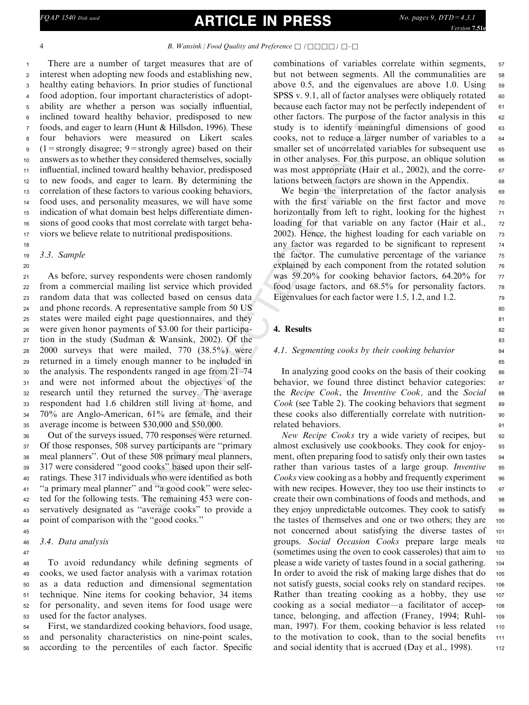## $QAP$  1540 Disk used No. **ARTICLE IN PRESS** No. pages 9, DTD=4.3.1

#### 4 B. Wansink | Food Quality and Preference  $\Box$  ( $\Box$  $\Box$ )  $\Box$

There are a number of target measures that are of interest when adopting new foods and establishing new, healthy eating behaviors. In prior studies of functional food adoption, four important characteristics of adoptability are whether a person was socially influential, inclined toward healthy behavior, predisposed to new foods, and eager to learn (Hunt & Hillsdon, 1996). These four behaviors were measured on Likert scales  $(1=$  strongly disagree;  $9=$  strongly agree) based on their answers as to whether they considered themselves, socially influential, inclined toward healthy behavior, predisposed to new foods, and eager to learn. By determining the correlation of these factors to various cooking behaviors, food uses, and personality measures, we will have some indication of what domain best helps differentiate dimensions of good cooks that most correlate with target behaviors we believe relate to nutritional predispositions. 1 2 3 4 5 6 7 8 9 10 11 12 13 14 15 16 17

#### 3.3. Sample 18 19

20

any factor<br>
the factor<br>
explained the factor<br>
any factor<br>
was 59.20<br>
glist service which provided<br>
sentative sample from 50 US<br>
age questionnaires, and they<br>
is of \$3.00 for their participa-<br>
n & Wansink, 2002). Of the<br>
ma As before, survey respondents were chosen randomly from a commercial mailing list service which provided random data that was collected based on census data and phone records. A representative sample from 50 US states were mailed eight page questionnaires, and they were given honor payments of \$3.00 for their participation in the study (Sudman & Wansink, 2002). Of the 2000 surveys that were mailed, 770 (38.5%) were returned in a timely enough manner to be included in the analysis. The respondents ranged in age from 21–74 and were not informed about the objectives of the research until they returned the survey. The average respondent had 1.6 children still living at home, and 70% are Anglo-American, 61% are female, and their average income is between \$30,000 and \$50,000. 21 22 23  $24$ 25 26 27 28 29 30 31  $32$ 33 34 35

Out of the surveys issued, 770 responses were returned. Of those responses, 508 survey participants are ''primary meal planners''. Out of these 508 primary meal planners, 317 were considered ''good cooks'' based upon their selfratings. These 317 individuals who were identified as both ''a primary meal planner'' and ''a good cook'' were selected for the following tests. The remaining 453 were conservatively designated as ''average cooks'' to provide a point of comparison with the ''good cooks.'' 36 37 38 39 40 41 42 43 44

#### 3.4. Data analysis 46

45

47

To avoid redundancy while defining segments of cooks, we used factor analysis with a varimax rotation as a data reduction and dimensional segmentation technique. Nine items for cooking behavior, 34 items for personality, and seven items for food usage were used for the factor analyses. 48 49 50 51 52 53

First, we standardized cooking behaviors, food usage, and personality characteristics on nine-point scales, according to the percentiles of each factor. Specific 54 55 56

factors. The purpose of<br>is to identify meaning<br>in to reduce a larger<br>in the parameter of uncorrelated va<br>er analyses. For this pu<br>ost appropriate (Hair e<br>is between factors are sh<br>begin the interpretatic<br>the first variable combinations of variables correlate within segments, but not between segments. All the communalities are above 0.5, and the eigenvalues are above 1.0. Using SPSS v. 9.1, all of factor analyses were obliquely rotated because each factor may not be perfectly independent of other factors. The purpose of the factor analysis in this study is to identify meaningful dimensions of good cooks, not to reduce a larger number of variables to a smaller set of uncorrelated variables for subsequent use in other analyses. For this purpose, an oblique solution was most appropriate (Hair et al., 2002), and the correlations between factors are shown in the Appendix. 57 58 59 60 61 62 63 64 65 66 67 68

We begin the interpretation of the factor analysis with the first variable on the first factor and move horizontally from left to right, looking for the highest loading for that variable on any factor (Hair et al., 2002). Hence, the highest loading for each variable on any factor was regarded to be significant to represent the factor. The cumulative percentage of the variance explained by each component from the rotated solution was 59.20% for cooking behavior factors, 64.20% for food usage factors, and 68.5% for personality factors. Eigenvalues for each factor were 1.5, 1.2, and 1.2.

## 4. Results

#### 4.1. Segmenting cooks by their cooking behavior

In analyzing good cooks on the basis of their cooking behavior, we found three distinct behavior categories: the Recipe Cook, the Inventive Cook, and the Social Cook (see Table 2). The cooking behaviors that segment these cooks also differentially correlate with nutritionrelated behaviors.

New Recipe Cooks try a wide variety of recipes, but almost exclusively use cookbooks. They cook for enjoyment, often preparing food to satisfy only their own tastes rather than various tastes of a large group. Inventive Cooks view cooking as a hobby and frequently experiment with new recipes. However, they too use their instincts to create their own combinations of foods and methods, and they enjoy unpredictable outcomes. They cook to satisfy the tastes of themselves and one or two others; they are not concerned about satisfying the diverse tastes of groups. Social Occasion Cooks prepare large meals (sometimes using the oven to cook casseroles) that aim to please a wide variety of tastes found in a social gathering. In order to avoid the risk of making large dishes that do not satisfy guests, social cooks rely on standard recipes. Rather than treating cooking as a hobby, they use cooking as a social mediator—a facilitator of acceptance, belonging, and affection (Franey, 1994; Ruhlman, 1997). For them, cooking behavior is less related to the motivation to cook, than to the social benefits and social identity that is accrued (Day et al., 1998). 92 93 94 95 96 97 98 99 100 101 102 103 104 105 106 107 108 109 110 111 112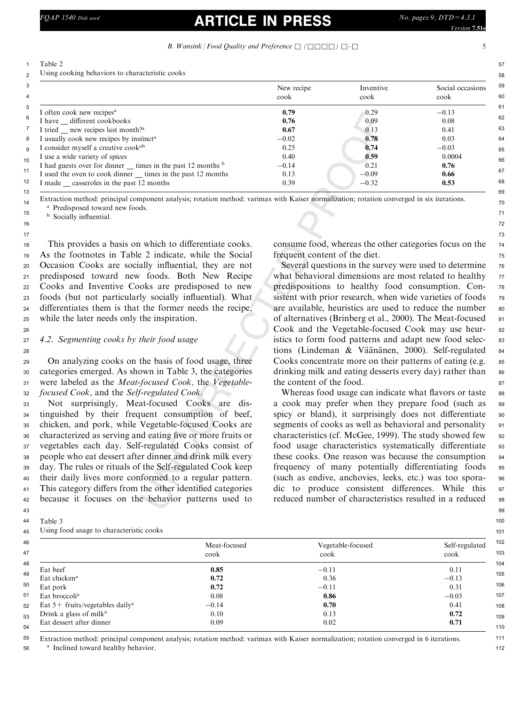## $QAP$  1540 Disk used  $ARTICLE IN PRESS$  No. pages 9, DTD=4.3.1

B. Wansink | Food Quality and Preference  $\Box$  ( $\Box$  $\Box$  $\Box$ )  $\Box$ - $\Box$ 

Table 2 1

Using cooking behaviors to characteristic cooks

|                                                                                                                                                                                                                                | New recipe | Inventive | Social occasions |
|--------------------------------------------------------------------------------------------------------------------------------------------------------------------------------------------------------------------------------|------------|-----------|------------------|
|                                                                                                                                                                                                                                | cook       | cook      | cook             |
| I often cook new recipes <sup>a</sup>                                                                                                                                                                                          | 0.79       | 0.29      | $-0.13$          |
| I have different cookbooks                                                                                                                                                                                                     | 0.76       | 0.09      | 0.08             |
| I tried new recipes last month? <sup>a</sup>                                                                                                                                                                                   | 0.67       | 0.13      | 0.41             |
| I usually cook new recipes by instinct <sup>a</sup>                                                                                                                                                                            | $-0.02$    | 0.78      | 0.03             |
| consider myself a creative cook <sup>ab</sup>                                                                                                                                                                                  | 0.25       | 0.74      | $-0.03$          |
| I use a wide variety of spices                                                                                                                                                                                                 | 0.40       | 0.59      | 0.0004           |
| I had guests over for dinner times in the past 12 months b                                                                                                                                                                     | $-0.14$    | 0.21      | 0.76             |
| I used the oven to cook dinner __ times in the past 12 months                                                                                                                                                                  | 0.13       | $-0.09$   | 0.66             |
| I made case roles in the past 12 months                                                                                                                                                                                        | 0.39       | $-0.32$   | 0.53             |
| Extraction method: principal component analysis; rotation method: varimax with Kaiser normalization; rotation converged in six iterations.<br><sup>a</sup> Predisposed toward new foods.<br><sup>b</sup> Socially influential. |            |           |                  |

16 17

This provides a basis on which to differentiate cooks. As the footnotes in Table 2 indicate, while the Social Occasion Cooks are socially influential, they are not predisposed toward new foods. Both New Recipe Cooks and Inventive Cooks are predisposed to new foods (but not particularly socially influential). What differentiates them is that the former needs the recipe, while the later needs only the inspiration. 18 19 20 21 22 23  $24$ 25

4.2. Segmenting cooks by their food usage 27

28

26

Table 3

44

On analyzing cooks on the basis of food usage, three categories emerged. As shown in Table 3, the categories were labeled as the Meat-focused Cook, the Vegetablefocused Cook, and the Self-regulated Cook. 29 30 31  $32$ 

Fractristic cooks. Consume the consumer of the secondary influential, they are not several frequent cooks. Both New Recipe what behavior of the second of the position of alternation. The inspiration. What the former needs Not surprisingly, Meat-focused Cooks are distinguished by their frequent consumption of beef, chicken, and pork, while Vegetable-focused Cooks are characterized as serving and eating five or more fruits or vegetables each day. Self-regulated Cooks consist of people who eat dessert after dinner and drink milk every day. The rules or rituals of the Self-regulated Cook keep their daily lives more conformed to a regular pattern. This category differs from the other identified categories because it focuses on the behavior patterns used to 33 34 35 36 37 38 39  $40$ 41 42 43

consume food, whereas the other categories focus on the frequent content of the diet.

Several questions in the survey were used to determine what behavioral dimensions are most related to healthy predispositions to healthy food consumption. Consistent with prior research, when wide varieties of foods are available, heuristics are used to reduce the number of alternatives (Brinberg et al., 2000). The Meat-focused Cook and the Vegetable-focused Cook may use heuristics to form food patterns and adapt new food selections (Lindeman & Väänänen, 2000). Self-regulated Cooks concentrate more on their patterns of eating (e.g. drinking milk and eating desserts every day) rather than the content of the food.

Whereas food usage can indicate what flavors or taste a cook may prefer when they prepare food (such as spicy or bland), it surprisingly does not differentiate segments of cooks as well as behavioral and personality characteristics (cf. McGee, 1999). The study showed few food usage characteristics systematically differentiate these cooks. One reason was because the consumption frequency of many potentially differentiating foods (such as endive, anchovies, leeks, etc.) was too sporadic to produce consistent differences. While this reduced number of characteristics resulted in a reduced 88 90 91 92 93  $Q_{\Delta}$ 95 96 **97** 98

|                                               | Meat-focused<br>cook | Vegetable-focused<br>cook | Self-regulated<br>cook |
|-----------------------------------------------|----------------------|---------------------------|------------------------|
| Eat beef                                      | 0.85                 | $-0.11$                   | 0.11                   |
| Eat chicken <sup>a</sup>                      | 0.72                 | 0.36                      | $-0.13$                |
| Eat pork                                      | 0.72                 | $-0.11$                   | 0.31                   |
| Eat broccoli <sup>a</sup>                     | 0.08                 | 0.86                      | $-0.03$                |
| Eat $5+$ fruits/vegetables daily <sup>a</sup> | $-0.14$              | 0.70                      | 0.41                   |
| Drink a glass of milk <sup>a</sup>            | 0.10                 | 0.13                      | 0.72                   |
| Eat dessert after dinner                      | 0.09                 | 0.02                      | 0.71                   |

Extraction method: principal component analysis; rotation method: varimax with Kaiser normalization; rotation converged in 6 iterations. 55

<sup>a</sup> Inclined toward healthy behavior. 56

89

99 100

111 112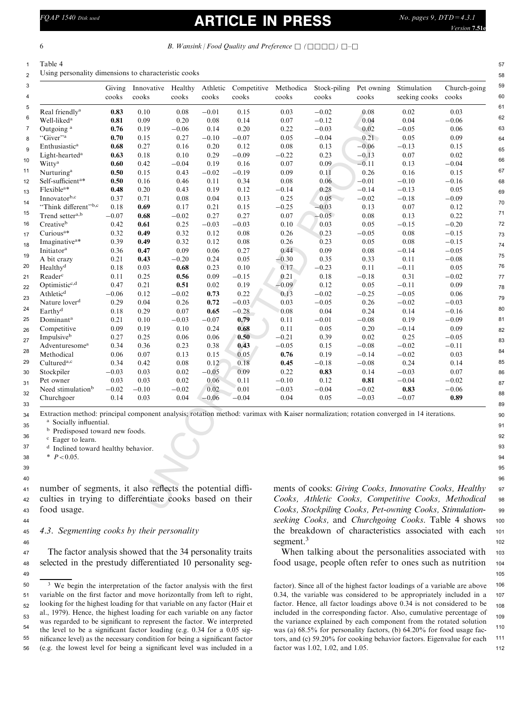## $\mathbf{ARTICLE}$  IN PRESS No. pages 9, DTD=4.3.1

1

Table 4

6 **B.** Wansink | Food Quality and Preference  $\Box$  ( $\Box$  $\Box$  $\Box$ )  $\Box$ - $\Box$ 

57

58

| Using personality dimensions to characteristic cooks |  |  |  |
|------------------------------------------------------|--|--|--|
|                                                      |  |  |  |

|                               | Giving  | Innovative | Healthy | Athletic | Competitive Methodica |          | Stock-piling | Pet owning | Stimulation   | Church-going |
|-------------------------------|---------|------------|---------|----------|-----------------------|----------|--------------|------------|---------------|--------------|
|                               | cooks   | cooks      | cooks   | cooks    | cooks                 | cooks    | cooks        | cooks      | seeking cooks | cooks        |
| Real friendly <sup>a</sup>    | 0.83    | 0.10       | 0.08    | $-0.01$  | 0.15                  | 0.03     | $-0.02$      | 0.08       | 0.02          | 0.03         |
| Well-liked <sup>a</sup>       | 0.81    | 0.09       | 0.20    | $0.08\,$ | 0.14                  | $0.07\,$ | $-0.12$      | 0.04       | 0.04          | $-0.06$      |
| Outgoing <sup>a</sup>         | 0.76    | 0.19       | $-0.06$ | 0.14     | 0.20                  | 0.22     | $-0.03$      | 0.02       | $-0.05$       | 0.06         |
| "Giver" <sup>a</sup>          | 0.70    | 0.15       | 0.27    | $-0.10$  | $-0.07$               | 0.05     | $-0.04$      | 0.21       | 0.05          | 0.09         |
| Enthusiastic <sup>a</sup>     | 0.68    | 0.27       | 0.16    | 0.20     | 0.12                  | 0.08     | 0.13         | $-0.06$    | $-0.13$       | 0.15         |
| Light-hearted <sup>a</sup>    | 0.63    | 0.18       | 0.10    | 0.29     | $-0.09$               | $-0.22$  | 0.23         | $-0.13$    | 0.07          | $0.02\,$     |
| Witty <sup>a</sup>            | 0.60    | 0.42       | $-0.04$ | 0.19     | 0.16                  | 0.07     | 0.09         | $-0.11$    | 0.13          | $-0.04$      |
| Nurturing <sup>a</sup>        | 0.50    | 0.15       | 0.43    | $-0.02$  | $-0.19$               | 0.09     | 0.11         | 0.26       | 0.16          | 0.15         |
| Self-sufficient <sup>a*</sup> | 0.50    | 0.16       | 0.46    | 0.11     | 0.34                  | 0.08     | 0.06         | $-0.01$    | $-0.10$       | $-0.16$      |
| Flexible <sup>a*</sup>        | 0.48    | 0.20       | 0.43    | 0.19     | 0.12                  | $-0.14$  | 0.28         | $-0.14$    | $-0.13$       | 0.05         |
| Innovatorb,c                  | 0.37    | 0.71       | 0.08    | 0.04     | 0.13                  | 0.25     | 0.05         | $-0.02$    | $-0.18$       | $-0.09$      |
| "Think different"b,c          | 0.18    | 0.69       | 0.17    | 0.21     | 0.15                  | $-0.25$  | $-0.03$      | 0.13       | 0.07          | 0.12         |
| Trend setter <sup>a,b</sup>   | $-0.07$ | 0.68       | $-0.02$ | 0.27     | 0.27                  | 0.07     | $-0.05$      | 0.08       | 0.13          | 0.22         |
| Creativeb                     | 0.42    | 0.61       | 0.25    | $-0.03$  | $-0.03$               | $0.10\,$ | 0.03         | 0.05       | $-0.15$       | $-0.20$      |
| Curious <sup>a*</sup>         | 0.32    | 0.49       | 0.32    | 0.12     | $0.08\,$              | 0.26     | 0.23         | $-0.05$    | $0.08\,$      | $-0.15$      |
| Imaginative <sup>a*</sup>     | 0.39    | 0.49       | 0.32    | 0.12     | 0.08                  | 0.26     | 0.23         | 0.05       | 0.08          | $-0.15$      |
| Initiator <sup>a</sup>        | 0.36    | 0.47       | 0.09    | 0.06     | 0.27                  | 0.44     | 0.09         | 0.08       | $-0.14$       | $-0.05$      |
| A bit crazy                   | 0.21    | 0.43       | $-0.20$ | 0.24     | 0.05                  | $-0.30$  | 0.35         | 0.33       | 0.11          | $-0.08$      |
| Healthy <sup>d</sup>          | 0.18    | 0.03       | 0.68    | 0.23     | 0.10                  | 0.17     | $-0.23$      | 0.11       | $-0.11$       | 0.05         |
| Reader <sup>c</sup>           | 0.11    | 0.25       | 0.56    | 0.09     | $-0.15$               | 0.21     | 0.18         | $-0.18$    | 0.31          | $-0.02$      |
| Optimistic <sup>c,d</sup>     | 0.47    | 0.21       | 0.51    | 0.02     | 0.19                  | $-0.09$  | 0.12         | 0.05       | $-0.11$       | 0.09         |
| Athletic <sup>d</sup>         | $-0.06$ | 0.12       | $-0.02$ | 0.73     | 0.22                  | 0.13     | $-0.02$      | $-0.25$    | $-0.05$       | 0.06         |
| Nature lover <sup>d</sup>     | 0.29    | 0.04       | 0.26    | 0.72     | $-0.03$               | 0.03     | $-0.05$      | 0.26       | $-0.02$       | $-0.03$      |
| Earthy <sup>d</sup>           | 0.18    | 0.29       | 0.07    | 0.65     | $-0.28$               | 0.08     | 0.04         | 0.24       | 0.14          | $-0.16$      |
| Dominant <sup>a</sup>         | 0.21    | 0.10       | $-0.03$ | $-0.07$  | 0.79                  | 0.11     | $-0.01$      | $-0.08$    | 0.19          | $-0.09$      |
| Competitive                   | 0.09    | 0.19       | 0.10    | 0.24     | 0.68                  | 0.11     | 0.05         | 0.20       | $-0.14$       | 0.09         |
| Impulsiveb                    | 0.27    | 0.25       | 0.06    | 0.06     | 0.50                  | $-0.21$  | 0.39         | 0.02       | 0.25          | $-0.05$      |
| Adventuresome <sup>a</sup>    | 0.34    | 0.36       | 0.23    | 0.38     | 0.43                  | $-0.05$  | 0.15         | $-0.08$    | $-0.02$       | $-0.11$      |
| Methodical                    | 0.06    | 0.07       | 0.13    | 0.15     | 0.05                  | 0.76     | 0.19         | $-0.14$    | $-0.02$       | 0.03         |
| Cultured <sup>a,c</sup>       | 0.34    | 0.42       | 0.08    | 0.12     | 0.18                  | 0.45     | $-0.18$      | $-0.08$    | 0.24          | 0.14         |
| Stockpiler                    | $-0.03$ | 0.03       | 0.02    | $-0.05$  | 0.09                  | 0.22     | 0.83         | 0.14       | $-0.03$       | 0.07         |
| Pet owner                     | 0.03    | 0.03       | 0.02    | 0.06     | 0.11                  | $-0.10$  | 0.12         | 0.81       | $-0.04$       | $-0.02$      |
| Need stimulation <sup>b</sup> | $-0.02$ | $-0.10$    | $-0.02$ | 0.02     | 0.01                  | $-0.03$  | $-0.04$      | $-0.02$    | 0.83          | $-0.06$      |
| Churchgoer                    | 0.14    | 0.03       | 0.04    | $-0.06$  | $-0.04$               | 0.04     | 0.05         | $-0.03$    | $-0.07$       | 0.89         |

46

number of segments, it also reflects the potential difficulties in trying to differentiate cooks based on their food usage.

4.3. Segmenting cooks by their personality 45

The factor analysis showed that the 34 personality traits selected in the prestudy differentiated 10 personality seg-47 48 49

<sup>3</sup> We begin the interpretation of the factor analysis with the first variable on the first factor and move horizontally from left to right, looking for the highest loading for that variable on any factor (Hair et al., 1979). Hence, the highest loading for each variable on any factor was regarded to be significant to represent the factor. We interpreted the level to be a significant factor loading (e.g. 0.34 for a 0.05 significance level) as the necessary condition for being a significant factor (e.g. the lowest level for being a significant level was included in a 50 51 52 53 54 55 56

ments of cooks: Giving Cooks, Innovative Cooks, Healthy Cooks, Athletic Cooks, Competitive Cooks, Methodical Cooks, Stockpiling Cooks, Pet-owning Cooks, Stimulationseeking Cooks, and Churchgoing Cooks. Table 4 shows the breakdown of characteristics associated with each segment.<sup>3</sup>

When talking about the personalities associated with food usage, people often refer to ones such as nutrition

factor). Since all of the highest factor loadings of a variable are above 0.34, the variable was considered to be appropriately included in a factor. Hence, all factor loadings above 0.34 is not considered to be included in the corresponding factor. Also, cumulative percentage of the variance explained by each component from the rotated solution was (a) 68.5% for personality factors, (b) 64.20% for food usage factors, and (c) 59.20% for cooking behavior factors. Eigenvalue for each factor was 1.02, 1.02, and 1.05. 106 107 108 109 110 111 112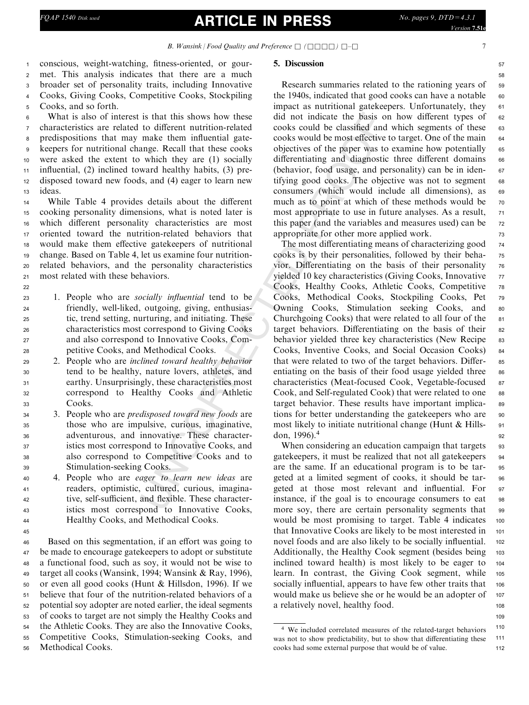22

## $QAP$  1540 Disk used  $\blacksquare$   $\blacksquare$   $\blacksquare$   $\blacksquare$   $\blacksquare$   $\blacksquare$   $\blacksquare$   $\blacksquare$   $\blacksquare$   $\blacksquare$   $\blacksquare$   $\blacksquare$   $\blacksquare$   $\blacksquare$   $\blacksquare$   $\blacksquare$   $\blacksquare$   $\blacksquare$   $\blacksquare$   $\blacksquare$   $\blacksquare$   $\blacksquare$   $\blacksquare$   $\blacksquare$   $\blacksquare$   $\blacksquare$   $\blacksquare$   $\blacksquare$   $\blacksquare$

B. Wansink | Food Quality and Preference  $\Box$  ( $\Box$  $\Box$  $\Box$ )  $\Box$ - $\Box$ 

conscious, weight-watching, fitness-oriented, or gourmet. This analysis indicates that there are a much broader set of personality traits, including Innovative Cooks, Giving Cooks, Competitive Cooks, Stockpiling Cooks, and so forth. 1 2 3 4 5

What is also of interest is that this shows how these characteristics are related to different nutrition-related predispositions that may make them influential gatekeepers for nutritional change. Recall that these cooks were asked the extent to which they are (1) socially influential, (2) inclined toward healthy habits, (3) predisposed toward new foods, and (4) eager to learn new ideas. 6 7 8 9 10 11 12 13

While Table 4 provides details about the different cooking personality dimensions, what is noted later is which different personality characteristics are most oriented toward the nutrition-related behaviors that would make them effective gatekeepers of nutritional change. Based on Table 4, let us examine four nutritionrelated behaviors, and the personality characteristics most related with these behaviors. 14 15 16 17 18 19 20 21

- 1. People who are socially influential tend to be friendly, well-liked, outgoing, giving, enthusiastic, trend setting, nurturing, and initiating. These characteristics most correspond to Giving Cooks and also correspond to Innovative Cooks, Competitive Cooks, and Methodical Cooks. 23  $24$ 25 26 27 28
- 2. People who are inclined toward healthy behavior tend to be healthy, nature lovers, athletes, and earthy. Unsurprisingly, these characteristics most correspond to Healthy Cooks and Athletic Cooks. 29 30 31  $32$ 33
- 3. People who are predisposed toward new foods are those who are impulsive, curious, imaginative, adventurous, and innovative. These characteristics most correspond to Innovative Cooks, and also correspond to Competitive Cooks and to Stimulation-seeking Cooks. 34 35 36 37 38 39
	- 4. People who are eager to learn new ideas are readers, optimistic, cultured, curious, imaginative, self-sufficient, and flexible. These characteristics most correspond to Innovative Cooks, Healthy Cooks, and Methodical Cooks.

Based on this segmentation, if an effort was going to be made to encourage gatekeepers to adopt or substitute a functional food, such as soy, it would not be wise to target all cooks (Wansink, 1994; Wansink & Ray, 1996), or even all good cooks (Hunt & Hillsdon, 1996). If we believe that four of the nutrition-related behaviors of a potential soy adopter are noted earlier, the ideal segments of cooks to target are not simply the Healthy Cooks and the Athletic Cooks. They are also the Innovative Cooks, Competitive Cooks, Stimulation-seeking Cooks, and Methodical Cooks. 46 47 48 49 50 51 52 53 54 55 56

#### 5. Discussion

ort indicate the basis of<br>could be classified and<br>would be most effective<br>ives of the paper was to<br>mitiating and diagnostic<br>ior, food usage, and pe<br>good cooks. The obje<br>mers (which would in<br>as to point at which of<br>appropri Research summaries related to the rationing years of the 1940s, indicated that good cooks can have a notable impact as nutritional gatekeepers. Unfortunately, they did not indicate the basis on how different types of cooks could be classified and which segments of these cooks would be most effective to target. One of the main objectives of the paper was to examine how potentially differentiating and diagnostic three different domains (behavior, food usage, and personality) can be in identifying good cooks. The objective was not to segment consumers (which would include all dimensions), as much as to point at which of these methods would be most appropriate to use in future analyses. As a result, this paper (and the variables and measures used) can be appropriate for other more applied work.

every and the model is examine four nutritional and the model is examine four nutrition cooks is twisted to haviors. With the cooks of the cooks and original tend to be cooks and original and initiating. These churchgo cor The most differentiating means of characterizing good cooks is by their personalities, followed by their behavior. Differentiating on the basis of their personality yielded 10 key characteristics (Giving Cooks, Innovative Cooks, Healthy Cooks, Athletic Cooks, Competitive Cooks, Methodical Cooks, Stockpiling Cooks, Pet Owning Cooks, Stimulation seeking Cooks, and Churchgoing Cooks) that were related to all four of the target behaviors. Differentiating on the basis of their behavior yielded three key characteristics (New Recipe Cooks, Inventive Cooks, and Social Occasion Cooks) that were related to two of the target behaviors. Differentiating on the basis of their food usage yielded three characteristics (Meat-focused Cook, Vegetable-focused Cook, and Self-regulated Cook) that were related to one target behavior. These results have important implications for better understanding the gatekeepers who are most likely to initiate nutritional change (Hunt & Hillsdon, 1996).<sup>4</sup> 74 75 76 77 78 79  $80$ 81 82 83 84 85 86 87 88 89 90 91 92

When considering an education campaign that targets gatekeepers, it must be realized that not all gatekeepers are the same. If an educational program is to be targeted at a limited segment of cooks, it should be targeted at those most relevant and influential. For instance, if the goal is to encourage consumers to eat more soy, there are certain personality segments that would be most promising to target. Table 4 indicates that Innovative Cooks are likely to be most interested in novel foods and are also likely to be socially influential. Additionally, the Healthy Cook segment (besides being inclined toward health) is most likely to be eager to learn. In contrast, the Giving Cook segment, while socially influential, appears to have few other traits that would make us believe she or he would be an adopter of a relatively novel, healthy food. 93 94 95 96 97 98 99 100 101 102 103 104 105 106 107 108

109

We included correlated measures of the related-target behaviors was not to show predictability, but to show that differentiating these cooks had some external purpose that would be of value. 110 111 112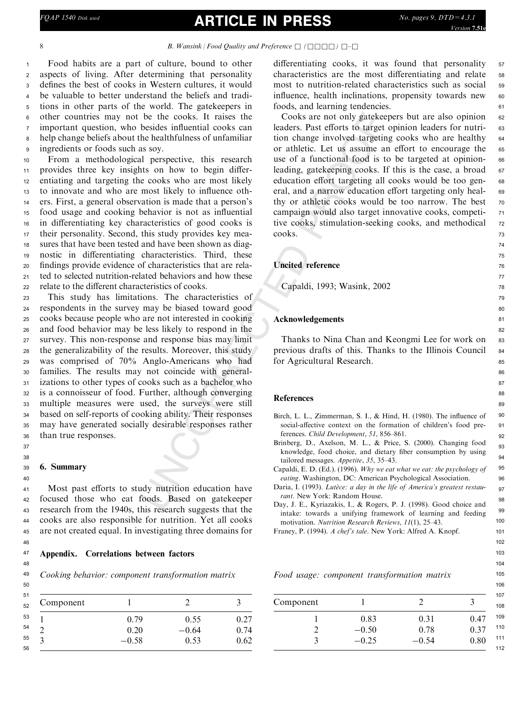## $QAP$  1540 Disk used  $\blacksquare$   $\blacksquare$   $\blacksquare$   $\blacksquare$   $\blacksquare$   $\blacksquare$   $\blacksquare$   $\blacksquare$   $\blacksquare$   $\blacksquare$   $\blacksquare$   $\blacksquare$   $\blacksquare$   $\blacksquare$   $\blacksquare$   $\blacksquare$   $\blacksquare$   $\blacksquare$   $\blacksquare$   $\blacksquare$   $\blacksquare$   $\blacksquare$   $\blacksquare$   $\blacksquare$   $\blacksquare$   $\blacksquare$   $\blacksquare$   $\blacksquare$   $\blacksquare$

#### 8 B. Wansink | Food Quality and Preference  $\Box$  ( $\Box$  $\Box$ )  $\Box$ - $\Box$

Food habits are a part of culture, bound to other aspects of living. After determining that personality defines the best of cooks in Western cultures, it would be valuable to better understand the beliefs and traditions in other parts of the world. The gatekeepers in other countries may not be the cooks. It raises the important question, who besides influential cooks can help change beliefs about the healthfulness of unfamiliar ingredients or foods such as soy. 1 2 3 4 5 6 7 8 9

From a methodological perspective, this research provides three key insights on how to begin differentiating and targeting the cooks who are most likely to innovate and who are most likely to influence others. First, a general observation is made that a person's food usage and cooking behavior is not as influential in differentiating key characteristics of good cooks is their personality. Second, this study provides key measures that have been tested and have been shown as diagnostic in differentiating characteristics. Third, these findings provide evidence of characteristics that are related to selected nutrition-related behaviors and how these relate to the different characteristics of cooks. 10 11 12 13 14 15 16 17 18 19 20 21 22

and have been shown as diag-<br>characteristics. Third, these<br>date behaviors and how these<br>detechistics of cooks.<br>Capaldi<br>districtions and how these<br>certistics of cooks.<br>Capaldi<br>districtions. The characteristics of<br>may be bi This study has limitations. The characteristics of respondents in the survey may be biased toward good cooks because people who are not interested in cooking and food behavior may be less likely to respond in the survey. This non-response and response bias may limit the generalizability of the results. Moreover, this study was comprised of 70% Anglo-Americans who had families. The results may not coincide with generalizations to other types of cooks such as a bachelor who is a connoisseur of food. Further, although converging multiple measures were used, the surveys were still based on self-reports of cooking ability. Their responses may have generated socially desirable responses rather than true responses. 23  $24$ 25 26 27 28 29 30 31  $32$ 33 34 35 36

#### 6. Summary

39 40

37 38

41

48 49 50

Most past efforts to study nutrition education have focused those who eat foods. Based on gatekeeper research from the 1940s, this research suggests that the cooks are also responsible for nutrition. Yet all cooks are not created equal. In investigating three domains for

#### Appendix. Correlations between factors 47

Cooking behavior: component transformation matrix

| Component |         |         |      |
|-----------|---------|---------|------|
|           | 0.79    | 0.55    | 0.27 |
|           | 0.20    | $-0.64$ | 0.74 |
|           | $-0.58$ | 0.53    | 0.62 |

differentiating cooks, it was found that personality characteristics are the most differentiating and relate most to nutrition-related characteristics such as social influence, health inclinations, propensity towards new foods, and learning tendencies. 57 58 59 60 61

ks are not only gatekees.<br>
S. Past efforts to target<br>
hange involved targetin<br>
letic. Let us assume an<br>
`a functional food is t<br>
g, gatekeeping cooks. I<br>
tion effort targeting all<br>
nd a narrow education<br>
`athletic cooks wo Cooks are not only gatekeepers but are also opinion leaders. Past efforts to target opinion leaders for nutrition change involved targeting cooks who are healthy or athletic. Let us assume an effort to encourage the use of a functional food is to be targeted at opinionleading, gatekeeping cooks. If this is the case, a broad education effort targeting all cooks would be too general, and a narrow education effort targeting only healthy or athletic cooks would be too narrow. The best campaign would also target innovative cooks, competitive cooks, stimulation-seeking cooks, and methodical cooks. 62 63 64 65 66 67 68 69 70 71 72 73

#### Uncited reference

Capaldi, 1993; Wasink, 2002

#### Acknowledgements

Thanks to Nina Chan and Keongmi Lee for work on previous drafts of this. Thanks to the Illinois Council for Agricultural Research.

#### References

- Birch, L. L., Zimmerman, S. I., & Hind, H. (1980). The influence of social-affective context on the formation of children's food preferences. Child Development, 51, 856–861.
- Brinberg, D., Axelson, M. L., & Price, S. (2000). Changing food knowledge, food choice, and dietary fiber consumption by using tailored messages. Appetite, 35, 35–43.

Capaldi, E. D. (Ed.). (1996). Why we eat what we eat: the psychology of eating. Washington, DC: American Psychological Association.

- Daria, I. (1993). Lutèce: a day in the life of America's greatest restaurant. New York: Random House.
- Day, J. E., Kyriazakis, I., & Rogers, P. J. (1998). Good choice and intake: towards a unifying framework of learning and feeding motivation. Nutrition Research Reviews, 11(1), 25–43.
- Franey, P. (1994). A chef's tale. New York: Alfred A. Knopf.

#### Food usage: component transformation matrix

| Component |         |         |      |
|-----------|---------|---------|------|
|           | 0.83    | 0.31    | 0.47 |
|           | $-0.50$ | 0.78    | 0.37 |
|           | $-0.25$ | $-0.54$ | 0.80 |